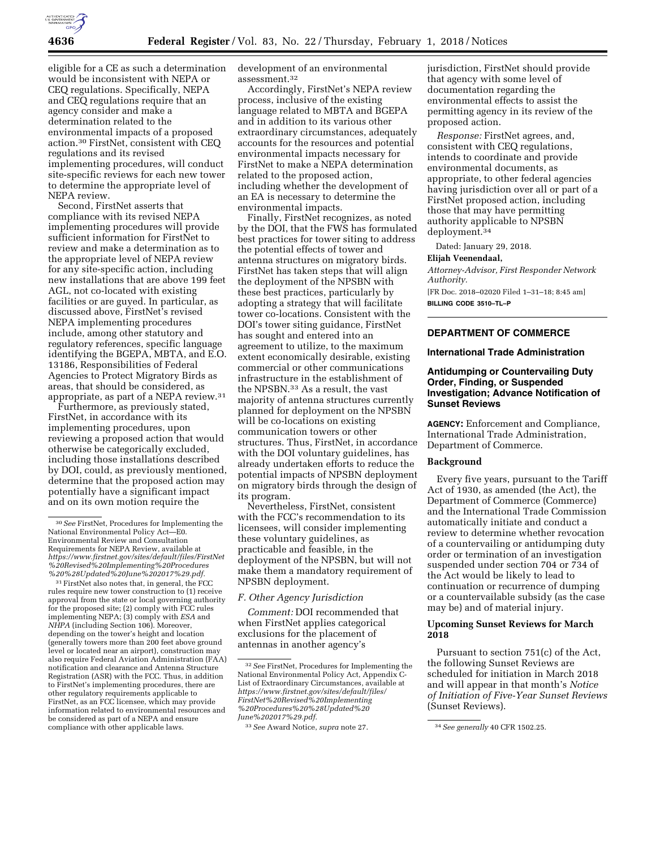

eligible for a CE as such a determination would be inconsistent with NEPA or CEQ regulations. Specifically, NEPA and CEQ regulations require that an agency consider and make a determination related to the environmental impacts of a proposed action.30 FirstNet, consistent with CEQ regulations and its revised implementing procedures, will conduct site-specific reviews for each new tower to determine the appropriate level of NEPA review.

Second, FirstNet asserts that compliance with its revised NEPA implementing procedures will provide sufficient information for FirstNet to review and make a determination as to the appropriate level of NEPA review for any site-specific action, including new installations that are above 199 feet AGL, not co-located with existing facilities or are guyed. In particular, as discussed above, FirstNet's revised NEPA implementing procedures include, among other statutory and regulatory references, specific language identifying the BGEPA, MBTA, and E.O. 13186, Responsibilities of Federal Agencies to Protect Migratory Birds as areas, that should be considered, as appropriate, as part of a NEPA review.31

Furthermore, as previously stated, FirstNet, in accordance with its implementing procedures, upon reviewing a proposed action that would otherwise be categorically excluded, including those installations described by DOI, could, as previously mentioned, determine that the proposed action may potentially have a significant impact and on its own motion require the

31FirstNet also notes that, in general, the FCC rules require new tower construction to (1) receive approval from the state or local governing authority for the proposed site; (2) comply with FCC rules implementing NEPA; (3) comply with *ESA* and *NHPA* (including Section 106). Moreover, depending on the tower's height and location (generally towers more than 200 feet above ground level or located near an airport), construction may also require Federal Aviation Administration (FAA) notification and clearance and Antenna Structure Registration (ASR) with the FCC. Thus, in addition to FirstNet's implementing procedures, there are other regulatory requirements applicable to FirstNet, as an FCC licensee, which may provide information related to environmental resources and be considered as part of a NEPA and ensure compliance with other applicable laws.

development of an environmental assessment.32

Accordingly, FirstNet's NEPA review process, inclusive of the existing language related to MBTA and BGEPA and in addition to its various other extraordinary circumstances, adequately accounts for the resources and potential environmental impacts necessary for FirstNet to make a NEPA determination related to the proposed action, including whether the development of an EA is necessary to determine the environmental impacts.

Finally, FirstNet recognizes, as noted by the DOI, that the FWS has formulated best practices for tower siting to address the potential effects of tower and antenna structures on migratory birds. FirstNet has taken steps that will align the deployment of the NPSBN with these best practices, particularly by adopting a strategy that will facilitate tower co-locations. Consistent with the DOI's tower siting guidance, FirstNet has sought and entered into an agreement to utilize, to the maximum extent economically desirable, existing commercial or other communications infrastructure in the establishment of the NPSBN.33 As a result, the vast majority of antenna structures currently planned for deployment on the NPSBN will be co-locations on existing communication towers or other structures. Thus, FirstNet, in accordance with the DOI voluntary guidelines, has already undertaken efforts to reduce the potential impacts of NPSBN deployment on migratory birds through the design of its program.

Nevertheless, FirstNet, consistent with the FCC's recommendation to its licensees, will consider implementing these voluntary guidelines, as practicable and feasible, in the deployment of the NPSBN, but will not make them a mandatory requirement of NPSBN deployment.

## *F. Other Agency Jurisdiction*

*Comment:* DOI recommended that when FirstNet applies categorical exclusions for the placement of antennas in another agency's

jurisdiction, FirstNet should provide that agency with some level of documentation regarding the environmental effects to assist the permitting agency in its review of the proposed action.

*Response:* FirstNet agrees, and, consistent with CEQ regulations, intends to coordinate and provide environmental documents, as appropriate, to other federal agencies having jurisdiction over all or part of a FirstNet proposed action, including those that may have permitting authority applicable to NPSBN deployment.34

Dated: January 29, 2018.

#### **Elijah Veenendaal,**

*Attorney-Advisor, First Responder Network Authority.* 

[FR Doc. 2018–02020 Filed 1–31–18; 8:45 am] **BILLING CODE 3510–TL–P** 

### **DEPARTMENT OF COMMERCE**

### **International Trade Administration**

# **Antidumping or Countervailing Duty Order, Finding, or Suspended Investigation; Advance Notification of Sunset Reviews**

**AGENCY:** Enforcement and Compliance, International Trade Administration, Department of Commerce.

# **Background**

Every five years, pursuant to the Tariff Act of 1930, as amended (the Act), the Department of Commerce (Commerce) and the International Trade Commission automatically initiate and conduct a review to determine whether revocation of a countervailing or antidumping duty order or termination of an investigation suspended under section 704 or 734 of the Act would be likely to lead to continuation or recurrence of dumping or a countervailable subsidy (as the case may be) and of material injury.

# **Upcoming Sunset Reviews for March 2018**

Pursuant to section 751(c) of the Act, the following Sunset Reviews are scheduled for initiation in March 2018 and will appear in that month's *Notice of Initiation of Five-Year Sunset Reviews*  (Sunset Reviews).

<sup>30</sup>*See* FirstNet, Procedures for Implementing the National Environmental Policy Act—E0. Environmental Review and Consultation Requirements for NEPA Review, available at *[https://www.firstnet.gov/sites/default/files/FirstNet](https://www.firstnet.gov/sites/default/files/FirstNet%20Revised%20Implementing%20Procedures%20%28Updated%20June%202017%29.pdf) [%20Revised%20Implementing%20Procedures](https://www.firstnet.gov/sites/default/files/FirstNet%20Revised%20Implementing%20Procedures%20%28Updated%20June%202017%29.pdf) [%20%28Updated%20June%202017%29.pdf.](https://www.firstnet.gov/sites/default/files/FirstNet%20Revised%20Implementing%20Procedures%20%28Updated%20June%202017%29.pdf)* 

<sup>32</sup>*See* FirstNet, Procedures for Implementing the National Environmental Policy Act, Appendix C-List of Extraordinary Circumstances, available at *[https://www.firstnet.gov/sites/default/files/](https://www.firstnet.gov/sites/default/files/FirstNet%20Revised%20Implementing%20Procedures%20%28Updated%20June%202017%29.pdf)  [FirstNet%20Revised%20Implementing](https://www.firstnet.gov/sites/default/files/FirstNet%20Revised%20Implementing%20Procedures%20%28Updated%20June%202017%29.pdf) [%20Procedures%20%28Updated%20](https://www.firstnet.gov/sites/default/files/FirstNet%20Revised%20Implementing%20Procedures%20%28Updated%20June%202017%29.pdf) [June%202017%29.pdf.](https://www.firstnet.gov/sites/default/files/FirstNet%20Revised%20Implementing%20Procedures%20%28Updated%20June%202017%29.pdf)* 

<sup>33</sup>*See* Award Notice, *supra* note 27. 34*See generally* 40 CFR 1502.25.